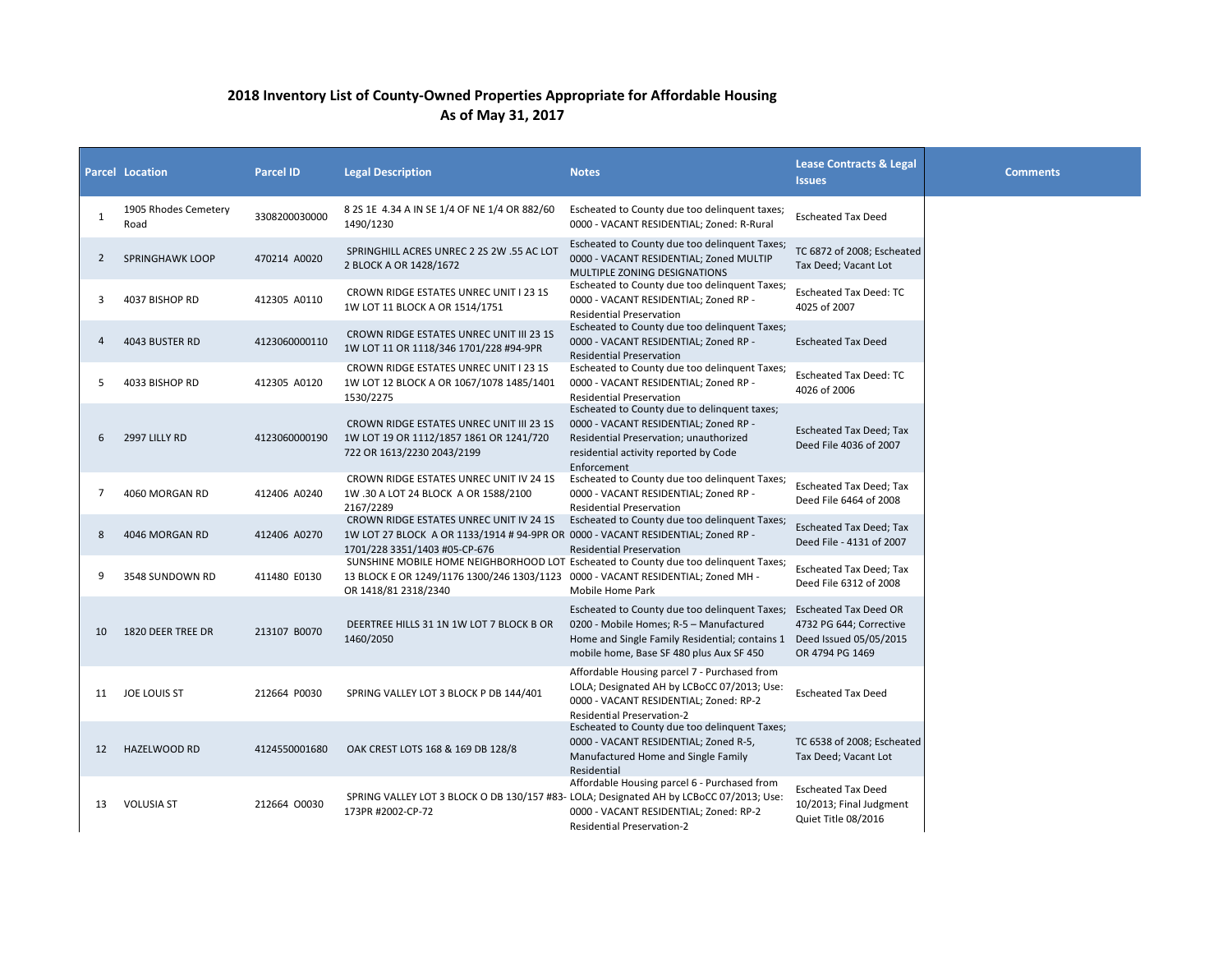## **2018 Inventory List of County-Owned Properties Appropriate for Affordable Housing As of May 31, 2017**

|    | <b>Parcel Location</b>       | <b>Parcel ID</b> | <b>Legal Description</b>                                                                                                                                     | <b>Notes</b>                                                                                                                                                                                                  | <b>Lease Contracts &amp; Legal</b><br><b>Issues</b>                         | <b>Comments</b> |
|----|------------------------------|------------------|--------------------------------------------------------------------------------------------------------------------------------------------------------------|---------------------------------------------------------------------------------------------------------------------------------------------------------------------------------------------------------------|-----------------------------------------------------------------------------|-----------------|
| 1  | 1905 Rhodes Cemetery<br>Road | 3308200030000    | 8 2S 1E 4.34 A IN SE 1/4 OF NE 1/4 OR 882/60<br>1490/1230                                                                                                    | Escheated to County due too delinquent taxes;<br>0000 - VACANT RESIDENTIAL: Zoned: R-Rural                                                                                                                    | <b>Escheated Tax Deed</b>                                                   |                 |
| 2  | <b>SPRINGHAWK LOOP</b>       | 470214 A0020     | SPRINGHILL ACRES UNREC 2 2S 2W .55 AC LOT<br>2 BLOCK A OR 1428/1672                                                                                          | Escheated to County due too delinquent Taxes;<br>0000 - VACANT RESIDENTIAL: Zoned MULTIP<br>MULTIPLE ZONING DESIGNATIONS                                                                                      | TC 6872 of 2008; Escheated<br>Tax Deed; Vacant Lot                          |                 |
| 3  | 4037 BISHOP RD               | 412305 A0110     | CROWN RIDGE ESTATES UNREC UNIT I 23 1S<br>1W LOT 11 BLOCK A OR 1514/1751                                                                                     | Escheated to County due too delinquent Taxes;<br>0000 - VACANT RESIDENTIAL; Zoned RP -<br><b>Residential Preservation</b>                                                                                     | <b>Escheated Tax Deed: TC</b><br>4025 of 2007                               |                 |
| 4  | 4043 BUSTER RD               | 4123060000110    | <b>CROWN RIDGE ESTATES UNREC UNIT III 23 1S</b><br>1W LOT 11 OR 1118/346 1701/228 #94-9PR                                                                    | Escheated to County due too delinquent Taxes;<br>0000 - VACANT RESIDENTIAL; Zoned RP -<br><b>Residential Preservation</b>                                                                                     | <b>Escheated Tax Deed</b>                                                   |                 |
| 5  | 4033 BISHOP RD               | 412305 A0120     | CROWN RIDGE ESTATES UNREC UNIT I 23 1S<br>1W LOT 12 BLOCK A OR 1067/1078 1485/1401<br>1530/2275                                                              | Escheated to County due too delinquent Taxes;<br>0000 - VACANT RESIDENTIAL; Zoned RP -<br><b>Residential Preservation</b>                                                                                     | Escheated Tax Deed: TC<br>4026 of 2006                                      |                 |
| 6  | 2997 LILLY RD                | 4123060000190    | <b>CROWN RIDGE ESTATES UNREC UNIT III 23 1S</b><br>1W LOT 19 OR 1112/1857 1861 OR 1241/720<br>722 OR 1613/2230 2043/2199                                     | Escheated to County due to delinquent taxes;<br>0000 - VACANT RESIDENTIAL; Zoned RP -<br>Residential Preservation; unauthorized<br>residential activity reported by Code<br>Enforcement                       | <b>Escheated Tax Deed; Tax</b><br>Deed File 4036 of 2007                    |                 |
| 7  | 4060 MORGAN RD               | 412406 A0240     | CROWN RIDGE ESTATES UNREC UNIT IV 24 1S<br>1W .30 A LOT 24 BLOCK A OR 1588/2100<br>2167/2289                                                                 | Escheated to County due too delinquent Taxes;<br>0000 - VACANT RESIDENTIAL; Zoned RP -<br><b>Residential Preservation</b>                                                                                     | <b>Escheated Tax Deed; Tax</b><br>Deed File 6464 of 2008                    |                 |
| 8  | 4046 MORGAN RD               | 412406 A0270     | CROWN RIDGE ESTATES UNREC UNIT IV 24 1S<br>1W LOT 27 BLOCK A OR 1133/1914 # 94-9PR OR 0000 - VACANT RESIDENTIAL; Zoned RP -<br>1701/228 3351/1403 #05-CP-676 | Escheated to County due too delinquent Taxes;<br><b>Residential Preservation</b>                                                                                                                              | <b>Escheated Tax Deed; Tax</b><br>Deed File - 4131 of 2007                  |                 |
| 9  | 3548 SUNDOWN RD              | 411480 E0130     | 13 BLOCK E OR 1249/1176 1300/246 1303/1123 0000 - VACANT RESIDENTIAL; Zoned MH -<br>OR 1418/81 2318/2340                                                     | SUNSHINE MOBILE HOME NEIGHBORHOOD LOT Escheated to County due too delinquent Taxes;<br>Mobile Home Park                                                                                                       | Escheated Tax Deed; Tax<br>Deed File 6312 of 2008                           |                 |
| 10 | 1820 DEER TREE DR            | 213107 B0070     | DEERTREE HILLS 31 1N 1W LOT 7 BLOCK B OR<br>1460/2050                                                                                                        | Escheated to County due too delinquent Taxes;<br>0200 - Mobile Homes; R-5 - Manufactured<br>Home and Single Family Residential; contains 1 Deed Issued 05/05/2015<br>mobile home, Base SF 480 plus Aux SF 450 | <b>Escheated Tax Deed OR</b><br>4732 PG 644; Corrective<br>OR 4794 PG 1469  |                 |
| 11 | JOE LOUIS ST                 | 212664 P0030     | SPRING VALLEY LOT 3 BLOCK P DB 144/401                                                                                                                       | Affordable Housing parcel 7 - Purchased from<br>LOLA; Designated AH by LCBoCC 07/2013; Use:<br>0000 - VACANT RESIDENTIAL; Zoned: RP-2<br>Residential Preservation-2                                           | <b>Escheated Tax Deed</b>                                                   |                 |
| 12 | HAZELWOOD RD                 | 4124550001680    | OAK CREST LOTS 168 & 169 DB 128/8                                                                                                                            | Escheated to County due too delinquent Taxes;<br>0000 - VACANT RESIDENTIAL; Zoned R-5,<br>Manufactured Home and Single Family<br>Residential                                                                  | TC 6538 of 2008; Escheated<br>Tax Deed; Vacant Lot                          |                 |
| 13 | <b>VOLUSIA ST</b>            | 212664 00030     | SPRING VALLEY LOT 3 BLOCK O DB 130/157 #83- LOLA; Designated AH by LCBoCC 07/2013; Use:<br>173PR #2002-CP-72                                                 | Affordable Housing parcel 6 - Purchased from<br>0000 - VACANT RESIDENTIAL; Zoned: RP-2<br>Residential Preservation-2                                                                                          | <b>Escheated Tax Deed</b><br>10/2013; Final Judgment<br>Quiet Title 08/2016 |                 |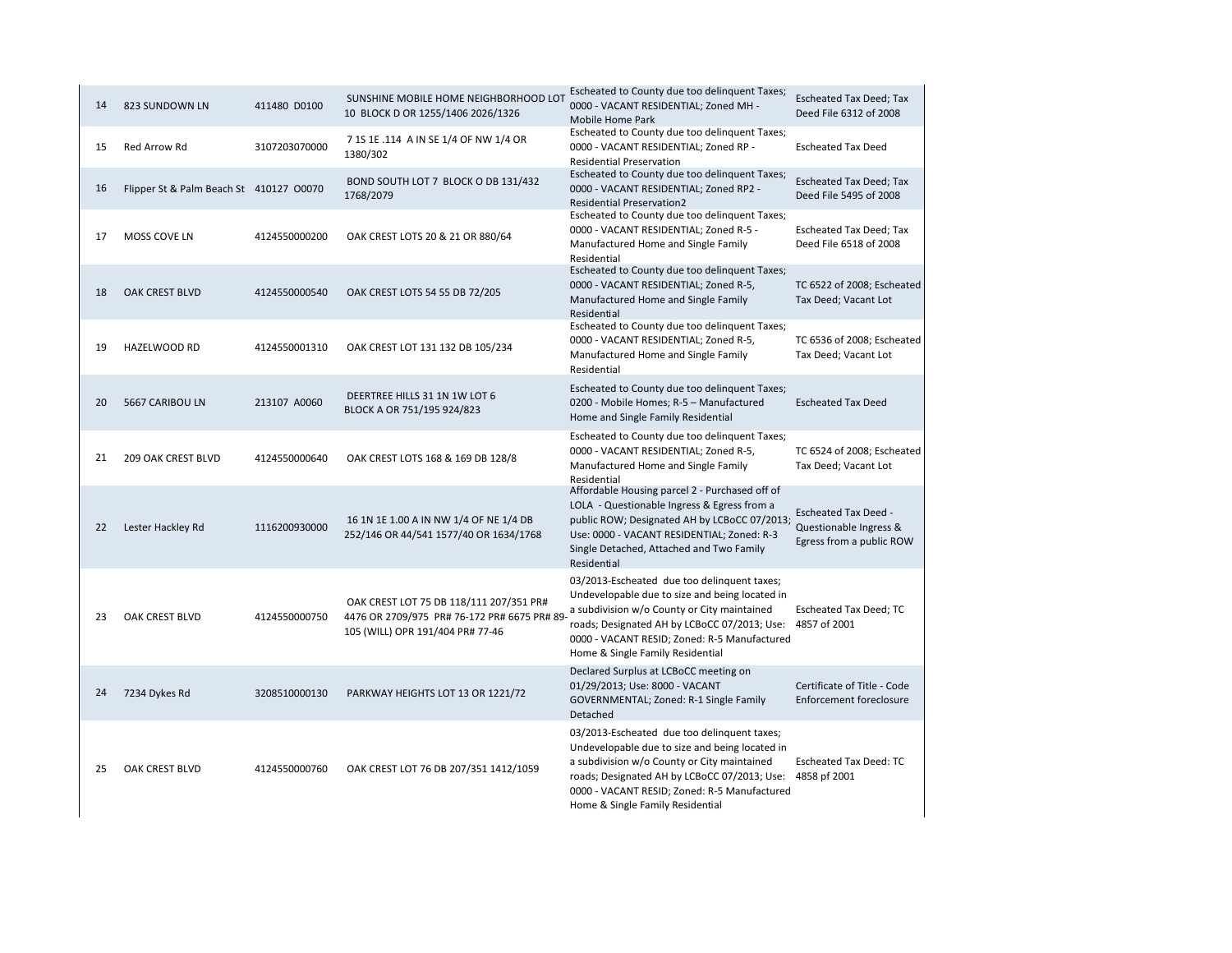| 14 | 823 SUNDOWN LN                          | 411480 D0100  | Escheated to County due too delinquent Taxes;<br>SUNSHINE MOBILE HOME NEIGHBORHOOD LOT<br>0000 - VACANT RESIDENTIAL; Zoned MH -<br>10 BLOCK D OR 1255/1406 2026/1326<br>Mobile Home Park |                                                                                                                                                                                                                                                                                  | <b>Escheated Tax Deed; Tax</b><br>Deed File 6312 of 2008                          |
|----|-----------------------------------------|---------------|------------------------------------------------------------------------------------------------------------------------------------------------------------------------------------------|----------------------------------------------------------------------------------------------------------------------------------------------------------------------------------------------------------------------------------------------------------------------------------|-----------------------------------------------------------------------------------|
| 15 | <b>Red Arrow Rd</b>                     | 3107203070000 | 7 1S 1E .114 A IN SE 1/4 OF NW 1/4 OR<br>1380/302                                                                                                                                        | Escheated to County due too delinquent Taxes;<br>0000 - VACANT RESIDENTIAL; Zoned RP -<br><b>Residential Preservation</b>                                                                                                                                                        | <b>Escheated Tax Deed</b>                                                         |
| 16 | Flipper St & Palm Beach St 410127 00070 |               | BOND SOUTH LOT 7 BLOCK O DB 131/432<br>1768/2079                                                                                                                                         | Escheated to County due too delinquent Taxes;<br>0000 - VACANT RESIDENTIAL; Zoned RP2 -<br><b>Residential Preservation2</b>                                                                                                                                                      | <b>Escheated Tax Deed; Tax</b><br>Deed File 5495 of 2008                          |
| 17 | MOSS COVE LN                            | 4124550000200 | OAK CREST LOTS 20 & 21 OR 880/64                                                                                                                                                         | Escheated to County due too delinquent Taxes;<br>0000 - VACANT RESIDENTIAL; Zoned R-5 -<br>Manufactured Home and Single Family<br>Residential                                                                                                                                    | <b>Escheated Tax Deed; Tax</b><br>Deed File 6518 of 2008                          |
| 18 | <b>OAK CREST BLVD</b>                   | 4124550000540 | OAK CREST LOTS 54 55 DB 72/205                                                                                                                                                           | Escheated to County due too delinquent Taxes;<br>0000 - VACANT RESIDENTIAL; Zoned R-5,<br>Manufactured Home and Single Family<br>Residential                                                                                                                                     | TC 6522 of 2008; Escheated<br>Tax Deed; Vacant Lot                                |
| 19 | <b>HAZELWOOD RD</b>                     | 4124550001310 | OAK CREST LOT 131 132 DB 105/234                                                                                                                                                         | Escheated to County due too delinquent Taxes;<br>0000 - VACANT RESIDENTIAL; Zoned R-5,<br>Manufactured Home and Single Family<br>Residential                                                                                                                                     | TC 6536 of 2008; Escheated<br>Tax Deed; Vacant Lot                                |
| 20 | 5667 CARIBOU LN                         | 213107 A0060  | DEERTREE HILLS 31 1N 1W LOT 6<br>BLOCK A OR 751/195 924/823                                                                                                                              | Escheated to County due too delinquent Taxes;<br>0200 - Mobile Homes; R-5 - Manufactured<br>Home and Single Family Residential                                                                                                                                                   | <b>Escheated Tax Deed</b>                                                         |
| 21 | <b>209 OAK CREST BLVD</b>               | 4124550000640 | OAK CREST LOTS 168 & 169 DB 128/8                                                                                                                                                        | Escheated to County due too delinquent Taxes;<br>0000 - VACANT RESIDENTIAL; Zoned R-5,<br>Manufactured Home and Single Family<br>Residential                                                                                                                                     | TC 6524 of 2008; Escheated<br>Tax Deed; Vacant Lot                                |
| 22 | Lester Hackley Rd                       | 1116200930000 | 16 1N 1E 1.00 A IN NW 1/4 OF NE 1/4 DB<br>252/146 OR 44/541 1577/40 OR 1634/1768                                                                                                         | Affordable Housing parcel 2 - Purchased off of<br>LOLA - Questionable Ingress & Egress from a<br>public ROW; Designated AH by LCBoCC 07/2013;<br>Use: 0000 - VACANT RESIDENTIAL; Zoned: R-3<br>Single Detached, Attached and Two Family<br>Residential                           | <b>Escheated Tax Deed -</b><br>Questionable Ingress &<br>Egress from a public ROW |
| 23 | OAK CREST BLVD                          | 4124550000750 | OAK CREST LOT 75 DB 118/111 207/351 PR#<br>4476 OR 2709/975 PR# 76-172 PR# 6675 PR# 89<br>105 (WILL) OPR 191/404 PR# 77-46                                                               | 03/2013-Escheated due too delinquent taxes;<br>Undevelopable due to size and being located in<br>a subdivision w/o County or City maintained<br>roads; Designated AH by LCBoCC 07/2013; Use:<br>0000 - VACANT RESID; Zoned: R-5 Manufactured<br>Home & Single Family Residential | Escheated Tax Deed; TC<br>4857 of 2001                                            |
| 24 | 7234 Dykes Rd                           | 3208510000130 | PARKWAY HEIGHTS LOT 13 OR 1221/72                                                                                                                                                        | Declared Surplus at LCBoCC meeting on<br>01/29/2013; Use: 8000 - VACANT<br>GOVERNMENTAL; Zoned: R-1 Single Family<br>Detached                                                                                                                                                    | Certificate of Title - Code<br><b>Enforcement foreclosure</b>                     |
| 25 | OAK CREST BLVD                          | 4124550000760 | OAK CREST LOT 76 DB 207/351 1412/1059                                                                                                                                                    | 03/2013-Escheated due too delinquent taxes;<br>Undevelopable due to size and being located in<br>a subdivision w/o County or City maintained<br>roads; Designated AH by LCBoCC 07/2013; Use:<br>0000 - VACANT RESID; Zoned: R-5 Manufactured<br>Home & Single Family Residential | <b>Escheated Tax Deed: TC</b><br>4858 pf 2001                                     |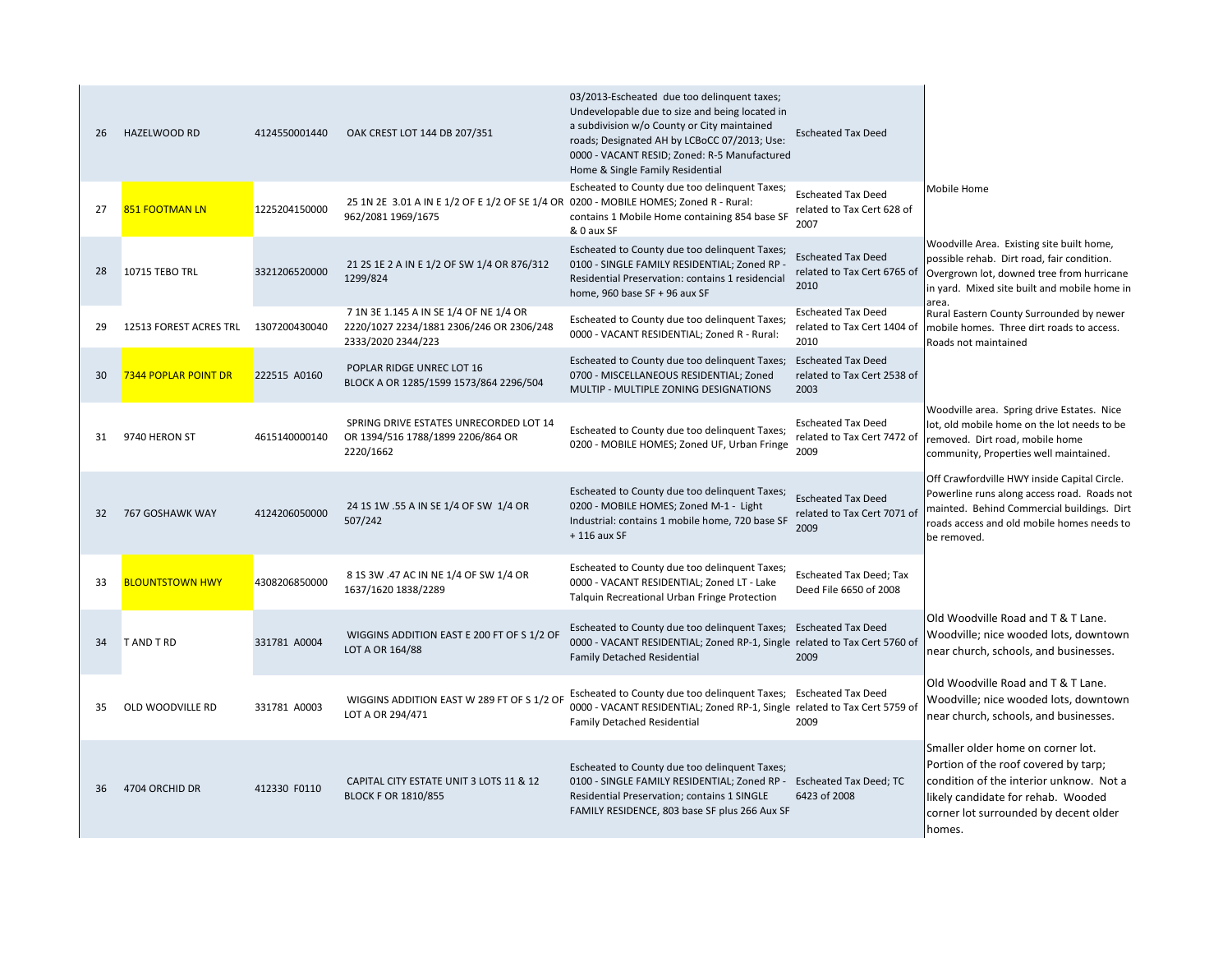| 26 | <b>HAZELWOOD RD</b>    | 4124550001440 | OAK CREST LOT 144 DB 207/351                                                                               | 03/2013-Escheated due too delinquent taxes;<br>Undevelopable due to size and being located in<br>a subdivision w/o County or City maintained<br>roads; Designated AH by LCBoCC 07/2013; Use:<br>0000 - VACANT RESID; Zoned: R-5 Manufactured<br>Home & Single Family Residential | <b>Escheated Tax Deed</b>                                        |                                                                                                                                                                                                               |
|----|------------------------|---------------|------------------------------------------------------------------------------------------------------------|----------------------------------------------------------------------------------------------------------------------------------------------------------------------------------------------------------------------------------------------------------------------------------|------------------------------------------------------------------|---------------------------------------------------------------------------------------------------------------------------------------------------------------------------------------------------------------|
| 27 | <b>851 FOOTMAN LN</b>  | 1225204150000 | 25 1N 2E 3.01 A IN E 1/2 OF E 1/2 OF SE 1/4 OR 0200 - MOBILE HOMES; Zoned R - Rural:<br>962/2081 1969/1675 | Escheated to County due too delinquent Taxes;<br>contains 1 Mobile Home containing 854 base SF<br>& 0 aux SF                                                                                                                                                                     | <b>Escheated Tax Deed</b><br>related to Tax Cert 628 of<br>2007  | Mobile Home                                                                                                                                                                                                   |
| 28 | 10715 TEBO TRL         | 3321206520000 | 21 25 1E 2 A IN E 1/2 OF SW 1/4 OR 876/312<br>1299/824                                                     | Escheated to County due too delinquent Taxes;<br>0100 - SINGLE FAMILY RESIDENTIAL; Zoned RP -<br>Residential Preservation: contains 1 residencial<br>home, 960 base SF + 96 aux SF                                                                                               | <b>Escheated Tax Deed</b><br>related to Tax Cert 6765 of<br>2010 | Woodville Area. Existing site built home,<br>possible rehab. Dirt road, fair condition.<br>Overgrown lot, downed tree from hurricane<br>in yard. Mixed site built and mobile home in<br>area.                 |
| 29 | 12513 FOREST ACRES TRL | 1307200430040 | 7 1N 3E 1.145 A IN SE 1/4 OF NE 1/4 OR<br>2220/1027 2234/1881 2306/246 OR 2306/248<br>2333/2020 2344/223   | Escheated to County due too delinquent Taxes;<br>0000 - VACANT RESIDENTIAL; Zoned R - Rural:                                                                                                                                                                                     | <b>Escheated Tax Deed</b><br>related to Tax Cert 1404 of<br>2010 | Rural Eastern County Surrounded by newer<br>mobile homes. Three dirt roads to access.<br>Roads not maintained                                                                                                 |
| 30 | 7344 POPLAR POINT DR   | 222515 A0160  | POPLAR RIDGE UNREC LOT 16<br>BLOCK A OR 1285/1599 1573/864 2296/504                                        | Escheated to County due too delinquent Taxes;<br>0700 - MISCELLANEOUS RESIDENTIAL; Zoned<br>MULTIP - MULTIPLE ZONING DESIGNATIONS                                                                                                                                                | <b>Escheated Tax Deed</b><br>related to Tax Cert 2538 of<br>2003 |                                                                                                                                                                                                               |
| 31 | 9740 HERON ST          | 4615140000140 | SPRING DRIVE ESTATES UNRECORDED LOT 14<br>OR 1394/516 1788/1899 2206/864 OR<br>2220/1662                   | Escheated to County due too delinquent Taxes;<br>0200 - MOBILE HOMES; Zoned UF, Urban Fringe                                                                                                                                                                                     | <b>Escheated Tax Deed</b><br>related to Tax Cert 7472 of<br>2009 | Woodville area. Spring drive Estates. Nice<br>lot, old mobile home on the lot needs to be<br>removed. Dirt road, mobile home<br>community, Properties well maintained.                                        |
| 32 | 767 GOSHAWK WAY        | 4124206050000 | 24 15 1W .55 A IN SE 1/4 OF SW 1/4 OR<br>507/242                                                           | Escheated to County due too delinquent Taxes;<br>0200 - MOBILE HOMES; Zoned M-1 - Light<br>Industrial: contains 1 mobile home, 720 base SF<br>$+116$ aux SF                                                                                                                      | <b>Escheated Tax Deed</b><br>related to Tax Cert 7071 of<br>2009 | Off Crawfordville HWY inside Capital Circle.<br>Powerline runs along access road. Roads not<br>mainted. Behind Commercial buildings. Dirt<br>roads access and old mobile homes needs to<br>be removed.        |
| 33 | <b>BLOUNTSTOWN HWY</b> | 4308206850000 | 8 1S 3W .47 AC IN NE 1/4 OF SW 1/4 OR<br>1637/1620 1838/2289                                               | Escheated to County due too delinquent Taxes;<br>0000 - VACANT RESIDENTIAL; Zoned LT - Lake<br>Talquin Recreational Urban Fringe Protection                                                                                                                                      | <b>Escheated Tax Deed; Tax</b><br>Deed File 6650 of 2008         |                                                                                                                                                                                                               |
| 34 | <b>TAND TRD</b>        | 331781 A0004  | WIGGINS ADDITION EAST E 200 FT OF S 1/2 OF<br>LOT A OR 164/88                                              | Escheated to County due too delinquent Taxes;<br>0000 - VACANT RESIDENTIAL; Zoned RP-1, Single related to Tax Cert 5760 of<br><b>Family Detached Residential</b>                                                                                                                 | <b>Escheated Tax Deed</b><br>2009                                | Old Woodville Road and T & T Lane.<br>Woodville; nice wooded lots, downtown<br>near church, schools, and businesses.                                                                                          |
| 35 | OLD WOODVILLE RD       | 331781 A0003  | WIGGINS ADDITION EAST W 289 FT OF S 1/2 OF<br>LOT A OR 294/471                                             | Escheated to County due too delinquent Taxes;<br>0000 - VACANT RESIDENTIAL; Zoned RP-1, Single related to Tax Cert 5759 of<br><b>Family Detached Residential</b>                                                                                                                 | <b>Escheated Tax Deed</b><br>2009                                | Old Woodville Road and T & T Lane.<br>Woodville; nice wooded lots, downtown<br>near church, schools, and businesses.                                                                                          |
| 36 | 4704 ORCHID DR         | 412330 F0110  | CAPITAL CITY ESTATE UNIT 3 LOTS 11 & 12<br><b>BLOCK F OR 1810/855</b>                                      | Escheated to County due too delinquent Taxes;<br>0100 - SINGLE FAMILY RESIDENTIAL; Zoned RP - Escheated Tax Deed; TC<br>Residential Preservation; contains 1 SINGLE<br>FAMILY RESIDENCE, 803 base SF plus 266 Aux SF                                                             | 6423 of 2008                                                     | Smaller older home on corner lot.<br>Portion of the roof covered by tarp;<br>condition of the interior unknow. Not a<br>likely candidate for rehab. Wooded<br>corner lot surrounded by decent older<br>homes. |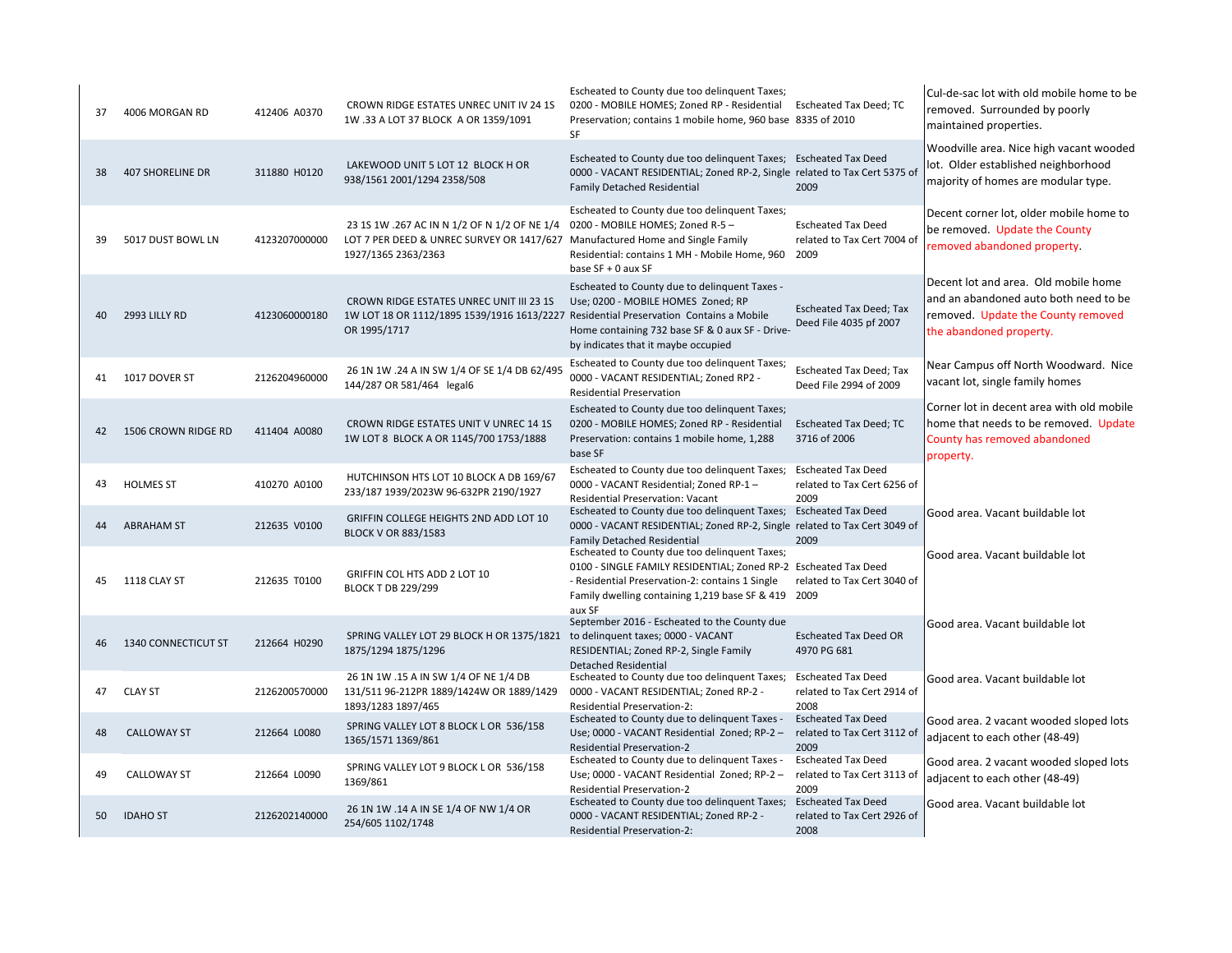| 37 | 4006 MORGAN RD          | 412406 A0370  | CROWN RIDGE ESTATES UNREC UNIT IV 24 1S<br>1W .33 A LOT 37 BLOCK A OR 1359/1091                                  | Escheated to County due too delinquent Taxes;<br>0200 - MOBILE HOMES; Zoned RP - Residential<br>Preservation; contains 1 mobile home, 960 base 8335 of 2010<br><b>SF</b>                                                    | Escheated Tax Deed; TC                                           | Cul-de-sac lot with old mobile home to be<br>removed. Surrounded by poorly<br>maintained properties.                                           |
|----|-------------------------|---------------|------------------------------------------------------------------------------------------------------------------|-----------------------------------------------------------------------------------------------------------------------------------------------------------------------------------------------------------------------------|------------------------------------------------------------------|------------------------------------------------------------------------------------------------------------------------------------------------|
| 38 | <b>407 SHORELINE DR</b> | 311880 H0120  | LAKEWOOD UNIT 5 LOT 12 BLOCK H OR<br>938/1561 2001/1294 2358/508                                                 | Escheated to County due too delinquent Taxes; Escheated Tax Deed<br>0000 - VACANT RESIDENTIAL; Zoned RP-2, Single related to Tax Cert 5375 of<br><b>Family Detached Residential</b>                                         | 2009                                                             | Woodville area. Nice high vacant wooded<br>lot. Older established neighborhood<br>majority of homes are modular type.                          |
| 39 | 5017 DUST BOWL LN       | 4123207000000 | 23 15 1W .267 AC IN N 1/2 OF N 1/2 OF NE 1/4<br>LOT 7 PER DEED & UNREC SURVEY OR 1417/627<br>1927/1365 2363/2363 | Escheated to County due too delinquent Taxes;<br>0200 - MOBILE HOMES; Zoned R-5 -<br>Manufactured Home and Single Family<br>Residential: contains 1 MH - Mobile Home, 960<br>base SF + 0 aux SF                             | <b>Escheated Tax Deed</b><br>related to Tax Cert 7004 of<br>2009 | Decent corner lot, older mobile home to<br>be removed. Update the County<br>removed abandoned property.                                        |
| 40 | 2993 LILLY RD           | 4123060000180 | CROWN RIDGE ESTATES UNREC UNIT III 23 1S<br>1W LOT 18 OR 1112/1895 1539/1916 1613/2227<br>OR 1995/1717           | Escheated to County due to delinquent Taxes -<br>Use; 0200 - MOBILE HOMES Zoned; RP<br>Residential Preservation Contains a Mobile<br>Home containing 732 base SF & 0 aux SF - Drive-<br>by indicates that it maybe occupied | <b>Escheated Tax Deed; Tax</b><br>Deed File 4035 pf 2007         | Decent lot and area. Old mobile home<br>and an abandoned auto both need to be<br>removed. Update the County removed<br>the abandoned property. |
| 41 | 1017 DOVER ST           | 2126204960000 | 26 1N 1W .24 A IN SW 1/4 OF SE 1/4 DB 62/495<br>144/287 OR 581/464 legal6                                        | Escheated to County due too delinquent Taxes;<br>0000 - VACANT RESIDENTIAL; Zoned RP2 -<br><b>Residential Preservation</b>                                                                                                  | Escheated Tax Deed; Tax<br>Deed File 2994 of 2009                | Near Campus off North Woodward. Nice<br>vacant lot, single family homes                                                                        |
| 42 | 1506 CROWN RIDGE RD     | 411404 A0080  | CROWN RIDGE ESTATES UNIT V UNREC 14 1S<br>1W LOT 8 BLOCK A OR 1145/700 1753/1888                                 | Escheated to County due too delinquent Taxes;<br>0200 - MOBILE HOMES; Zoned RP - Residential<br>Preservation: contains 1 mobile home, 1,288<br>base SF                                                                      | <b>Escheated Tax Deed; TC</b><br>3716 of 2006                    | Corner lot in decent area with old mobile<br>home that needs to be removed. Update<br>County has removed abandoned<br>property.                |
| 43 | <b>HOLMES ST</b>        | 410270 A0100  | HUTCHINSON HTS LOT 10 BLOCK A DB 169/67<br>233/187 1939/2023W 96-632PR 2190/1927                                 | Escheated to County due too delinquent Taxes;<br>0000 - VACANT Residential; Zoned RP-1-<br>Residential Preservation: Vacant                                                                                                 | <b>Escheated Tax Deed</b><br>related to Tax Cert 6256 of<br>2009 |                                                                                                                                                |
| 44 | <b>ABRAHAM ST</b>       | 212635 V0100  | GRIFFIN COLLEGE HEIGHTS 2ND ADD LOT 10<br><b>BLOCK V OR 883/1583</b>                                             | Escheated to County due too delinquent Taxes;<br>0000 - VACANT RESIDENTIAL; Zoned RP-2, Single related to Tax Cert 3049 of<br><b>Family Detached Residential</b>                                                            | <b>Escheated Tax Deed</b><br>2009                                | Good area. Vacant buildable lot                                                                                                                |
| 45 | 1118 CLAY ST            | 212635 T0100  | GRIFFIN COL HTS ADD 2 LOT 10<br><b>BLOCK T DB 229/299</b>                                                        | Escheated to County due too delinquent Taxes;<br>0100 - SINGLE FAMILY RESIDENTIAL; Zoned RP-2<br>- Residential Preservation-2: contains 1 Single<br>Family dwelling containing 1,219 base SF & 419 2009<br>aux SF           | <b>Escheated Tax Deed</b><br>related to Tax Cert 3040 of         | Good area. Vacant buildable lot                                                                                                                |
| 46 | 1340 CONNECTICUT ST     | 212664 H0290  | SPRING VALLEY LOT 29 BLOCK H OR 1375/1821<br>1875/1294 1875/1296                                                 | September 2016 - Escheated to the County due<br>to delinquent taxes; 0000 - VACANT<br>RESIDENTIAL; Zoned RP-2, Single Family<br><b>Detached Residential</b>                                                                 | <b>Escheated Tax Deed OR</b><br>4970 PG 681                      | Good area. Vacant buildable lot                                                                                                                |
| 47 | <b>CLAY ST</b>          | 2126200570000 | 26 1N 1W .15 A IN SW 1/4 OF NE 1/4 DB<br>131/511 96-212PR 1889/1424W OR 1889/1429<br>1893/1283 1897/465          | Escheated to County due too delinquent Taxes;<br>0000 - VACANT RESIDENTIAL; Zoned RP-2 -<br><b>Residential Preservation-2:</b>                                                                                              | <b>Escheated Tax Deed</b><br>related to Tax Cert 2914 of<br>2008 | Good area. Vacant buildable lot                                                                                                                |
| 48 | <b>CALLOWAY ST</b>      | 212664 L0080  | SPRING VALLEY LOT 8 BLOCK L OR 536/158<br>1365/1571 1369/861                                                     | Escheated to County due to delinquent Taxes -<br>Use; 0000 - VACANT Residential Zoned; RP-2 -<br><b>Residential Preservation-2</b>                                                                                          | <b>Escheated Tax Deed</b><br>related to Tax Cert 3112 of<br>2009 | Good area. 2 vacant wooded sloped lots<br>adjacent to each other (48-49)                                                                       |
| 49 | <b>CALLOWAY ST</b>      | 212664 L0090  | SPRING VALLEY LOT 9 BLOCK L OR 536/158<br>1369/861                                                               | Escheated to County due to delinquent Taxes -<br>Use; 0000 - VACANT Residential Zoned; RP-2 -<br><b>Residential Preservation-2</b>                                                                                          | <b>Escheated Tax Deed</b><br>related to Tax Cert 3113 of<br>2009 | Good area. 2 vacant wooded sloped lots<br>adjacent to each other (48-49)                                                                       |
| 50 | <b>IDAHO ST</b>         | 2126202140000 | 26 1N 1W .14 A IN SE 1/4 OF NW 1/4 OR<br>254/605 1102/1748                                                       | Escheated to County due too delinquent Taxes;<br>0000 - VACANT RESIDENTIAL; Zoned RP-2 -<br><b>Residential Preservation-2:</b>                                                                                              | <b>Escheated Tax Deed</b><br>related to Tax Cert 2926 of<br>2008 | Good area. Vacant buildable lot                                                                                                                |